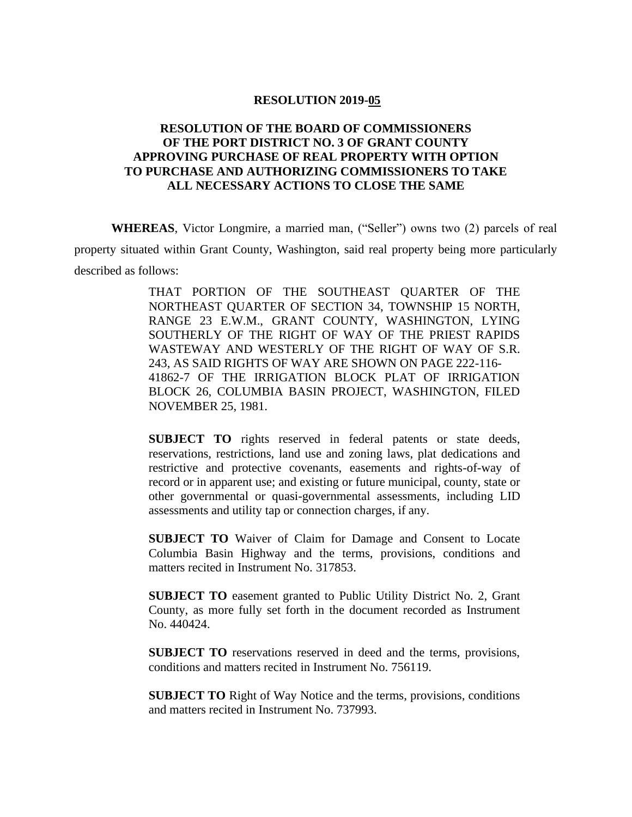## **RESOLUTION 2019-05**

## **RESOLUTION OF THE BOARD OF COMMISSIONERS OF THE PORT DISTRICT NO. 3 OF GRANT COUNTY APPROVING PURCHASE OF REAL PROPERTY WITH OPTION TO PURCHASE AND AUTHORIZING COMMISSIONERS TO TAKE ALL NECESSARY ACTIONS TO CLOSE THE SAME**

**WHEREAS**, Victor Longmire, a married man, ("Seller") owns two (2) parcels of real property situated within Grant County, Washington, said real property being more particularly described as follows:

> THAT PORTION OF THE SOUTHEAST QUARTER OF THE NORTHEAST QUARTER OF SECTION 34, TOWNSHIP 15 NORTH, RANGE 23 E.W.M., GRANT COUNTY, WASHINGTON, LYING SOUTHERLY OF THE RIGHT OF WAY OF THE PRIEST RAPIDS WASTEWAY AND WESTERLY OF THE RIGHT OF WAY OF S.R. 243, AS SAID RIGHTS OF WAY ARE SHOWN ON PAGE 222-116- 41862-7 OF THE IRRIGATION BLOCK PLAT OF IRRIGATION BLOCK 26, COLUMBIA BASIN PROJECT, WASHINGTON, FILED NOVEMBER 25, 1981.

> **SUBJECT TO** rights reserved in federal patents or state deeds, reservations, restrictions, land use and zoning laws, plat dedications and restrictive and protective covenants, easements and rights-of-way of record or in apparent use; and existing or future municipal, county, state or other governmental or quasi-governmental assessments, including LID assessments and utility tap or connection charges, if any.

> **SUBJECT TO** Waiver of Claim for Damage and Consent to Locate Columbia Basin Highway and the terms, provisions, conditions and matters recited in Instrument No. 317853.

> **SUBJECT TO** easement granted to Public Utility District No. 2, Grant County, as more fully set forth in the document recorded as Instrument No. 440424.

> **SUBJECT TO** reservations reserved in deed and the terms, provisions, conditions and matters recited in Instrument No. 756119.

> **SUBJECT TO** Right of Way Notice and the terms, provisions, conditions and matters recited in Instrument No. 737993.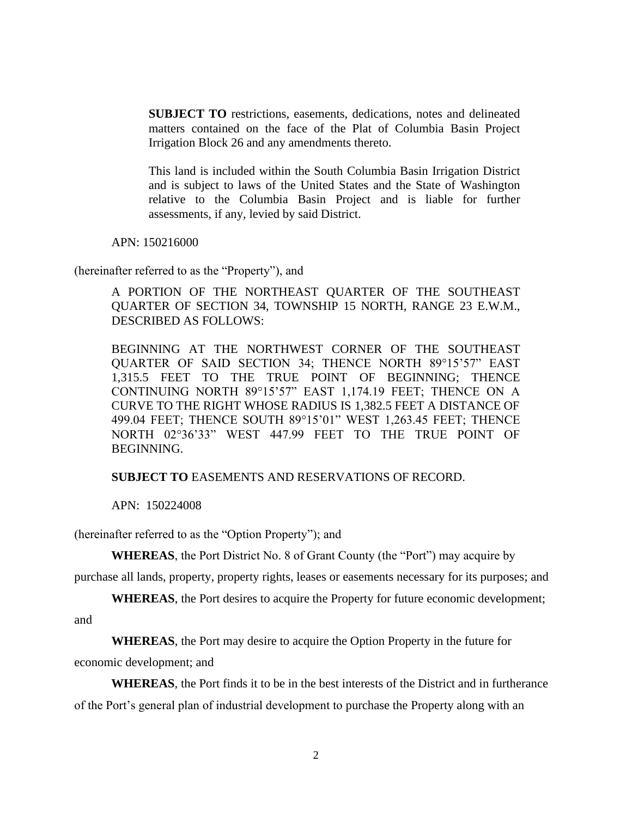**SUBJECT TO** restrictions, easements, dedications, notes and delineated matters contained on the face of the Plat of Columbia Basin Project Irrigation Block 26 and any amendments thereto.

This land is included within the South Columbia Basin Irrigation District and is subject to laws of the United States and the State of Washington relative to the Columbia Basin Project and is liable for further assessments, if any, levied by said District.

APN: 150216000

(hereinafter referred to as the "Property"), and

A PORTION OF THE NORTHEAST QUARTER OF THE SOUTHEAST QUARTER OF SECTION 34, TOWNSHIP 15 NORTH, RANGE 23 E.W.M., DESCRIBED AS FOLLOWS:

BEGINNING AT THE NORTHWEST CORNER OF THE SOUTHEAST QUARTER OF SAID SECTION 34; THENCE NORTH 89°15'57" EAST 1,315.5 FEET TO THE TRUE POINT OF BEGINNING; THENCE CONTINUING NORTH 89°15'57" EAST 1,174.19 FEET; THENCE ON A CURVE TO THE RIGHT WHOSE RADIUS IS 1,382.5 FEET A DISTANCE OF 499.04 FEET; THENCE SOUTH 89°15'01" WEST 1,263.45 FEET; THENCE NORTH 02°36'33" WEST 447.99 FEET TO THE TRUE POINT OF BEGINNING.

## **SUBJECT TO** EASEMENTS AND RESERVATIONS OF RECORD.

APN: 150224008

(hereinafter referred to as the "Option Property"); and

**WHEREAS**, the Port District No. 8 of Grant County (the "Port") may acquire by

purchase all lands, property, property rights, leases or easements necessary for its purposes; and

**WHEREAS**, the Port desires to acquire the Property for future economic development;

and

**WHEREAS**, the Port may desire to acquire the Option Property in the future for

economic development; and

**WHEREAS**, the Port finds it to be in the best interests of the District and in furtherance of the Port's general plan of industrial development to purchase the Property along with an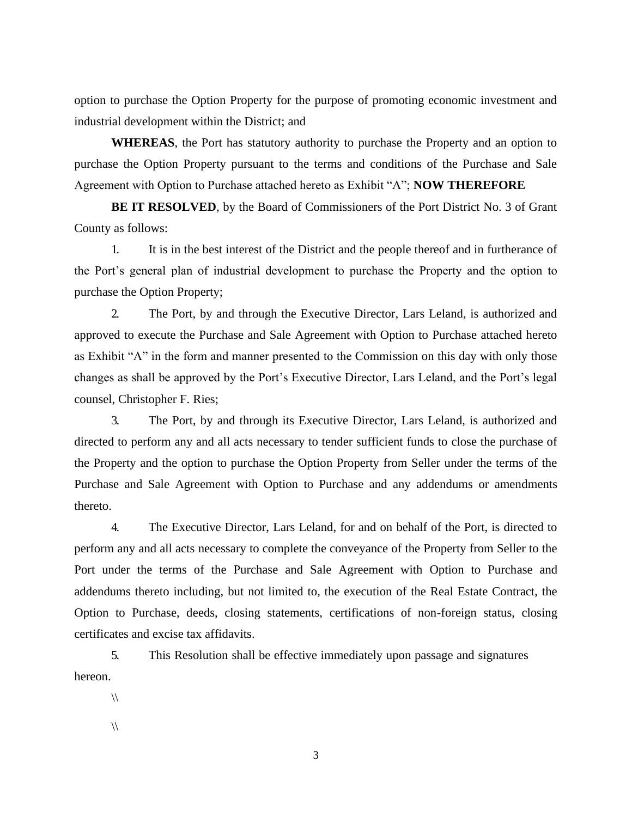option to purchase the Option Property for the purpose of promoting economic investment and industrial development within the District; and

**WHEREAS**, the Port has statutory authority to purchase the Property and an option to purchase the Option Property pursuant to the terms and conditions of the Purchase and Sale Agreement with Option to Purchase attached hereto as Exhibit "A"; **NOW THEREFORE**

**BE IT RESOLVED**, by the Board of Commissioners of the Port District No. 3 of Grant County as follows:

1. It is in the best interest of the District and the people thereof and in furtherance of the Port's general plan of industrial development to purchase the Property and the option to purchase the Option Property;

2. The Port, by and through the Executive Director, Lars Leland, is authorized and approved to execute the Purchase and Sale Agreement with Option to Purchase attached hereto as Exhibit "A" in the form and manner presented to the Commission on this day with only those changes as shall be approved by the Port's Executive Director, Lars Leland, and the Port's legal counsel, Christopher F. Ries;

3. The Port, by and through its Executive Director, Lars Leland, is authorized and directed to perform any and all acts necessary to tender sufficient funds to close the purchase of the Property and the option to purchase the Option Property from Seller under the terms of the Purchase and Sale Agreement with Option to Purchase and any addendums or amendments thereto.

4. The Executive Director, Lars Leland, for and on behalf of the Port, is directed to perform any and all acts necessary to complete the conveyance of the Property from Seller to the Port under the terms of the Purchase and Sale Agreement with Option to Purchase and addendums thereto including, but not limited to, the execution of the Real Estate Contract, the Option to Purchase, deeds, closing statements, certifications of non-foreign status, closing certificates and excise tax affidavits.

5. This Resolution shall be effective immediately upon passage and signatures hereon.

 $\sqrt{ }$ 

 $\sqrt{ }$ 

3